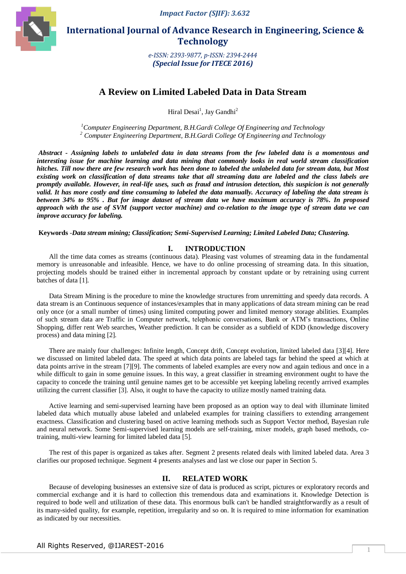

 **International Journal of Advance Research in Engineering, Science & Technology** 

> *e-ISSN: 2393-9877, p-ISSN: 2394-2444 (Special Issue for ITECE 2016)*

# **A Review on Limited Labeled Data in Data Stream**

Hiral Desai<sup>1</sup>, Jay Gandhi<sup>2</sup>

*<sup>1</sup>Computer Engineering Department, B.H.Gardi College Of Engineering and Technology <sup>2</sup> Computer Engineering Department, B.H.Gardi College Of Engineering and Technology*

*Abstract - Assigning labels to unlabeled data in data streams from the few labeled data is a momentous and interesting issue for machine learning and data mining that commonly looks in real world stream classification hitches. Till now there are few research work has been done to labeled the unlabeled data for stream data, but Most existing work on classification of data streams take that all streaming data are labeled and the class labels are promptly available. However, in real-life uses, such as fraud and intrusion detection, this suspicion is not generally*  valid. It has more costly and time consuming to labeled the data manually. Accuracy of labeling the data stream is *between 34% to 95% . But for image dataset of stream data we have maximum accuracy is 78%. In proposed approach with the use of SVM (support vector machine) and co-relation to the image type of stream data we can improve accuracy for labeling.*

**Keywords** -*Data stream mining; Classification; Semi-Supervised Learning; Limited Labeled Data; Clustering.*

## **I. INTRODUCTION**

All the time data comes as streams (continuous data). Pleasing vast volumes of streaming data in the fundamental memory is unreasonable and infeasible. Hence, we have to do online processing of streaming data. In this situation, projecting models should be trained either in incremental approach by constant update or by retraining using current batches of data [1].

Data Stream Mining is the procedure to mine the knowledge structures from unremitting and speedy data records. A data stream is an Continuous sequence of instances/examples that in many applications of data stream mining can be read only once (or a small number of times) using limited computing power and limited memory storage abilities. Examples of such stream data are Traffic in Computer network, telephonic conversations, Bank or ATM's transactions, Online Shopping, differ rent Web searches, Weather prediction. It can be consider as a subfield of KDD (knowledge discovery process) and data mining [2].

There are mainly four challenges: Infinite length, Concept drift, Concept evolution, limited labeled data [3][4]. Here we discussed on limited labeled data. The speed at which data points are labeled tags far behind the speed at which at data points arrive in the stream [7][9]. The comments of labeled examples are every now and again tedious and once in a while difficult to gain in some genuine issues. In this way, a great classifier in streaming environment ought to have the capacity to concede the training until genuine names get to be accessible yet keeping labeling recently arrived examples utilizing the current classifier [3]. Also, it ought to have the capacity to utilize mostly named training data.

Active learning and semi-supervised learning have been proposed as an option way to deal with illuminate limited labeled data which mutually abuse labeled and unlabeled examples for training classifiers to extending arrangement exactness. Classification and clustering based on active learning methods such as Support Vector method, Bayesian rule and neural network. Some Semi-supervised learning models are self-training, mixer models, graph based methods, cotraining, multi-view learning for limited labeled data [5].

The rest of this paper is organized as takes after. Segment 2 presents related deals with limited labeled data. Area 3 clarifies our proposed technique. Segment 4 presents analyses and last we close our paper in Section 5.

#### **II. RELATED WORK**

Because of developing businesses an extensive size of data is produced as script, pictures or exploratory records and commercial exchange and it is hard to collection this tremendous data and examinations it. Knowledge Detection is required to bode well and utilization of these data. This enormous bulk can't be handled straightforwardly as a result of its many-sided quality, for example, repetition, irregularity and so on. It is required to mine information for examination as indicated by our necessities.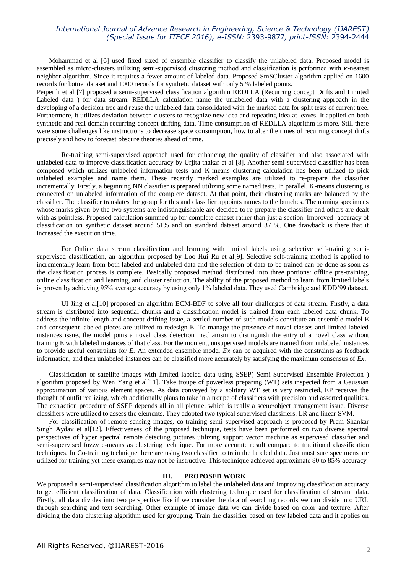# *International Journal of Advance Research in Engineering, Science & Technology (IJAREST) (Special Issue for ITECE 2016), e-ISSN:* 2393-9877*, print-ISSN:* 2394-2444

Mohammad et al [6] used fixed sized of ensemble classifier to classify the unlabeled data. Proposed model is assembled as micro-clusters utilizing semi-supervised clustering method and classification is performed with κ-nearest neighbor algorithm. Since it requires a fewer amount of labeled data. Proposed SmSCluster algorithm applied on 1600 records for botnet dataset and 1000 records for synthetic dataset with only 5 % labeled points.

Peipei li et al [7] proposed a semi-supervised classification algorithm REDLLA (Recurring concept Drifts and Limited Labeled data ) for data stream. REDLLA calculation name the unlabeled data with a clustering approach in the developing of a decision tree and reuse the unlabeled data consolidated with the marked data for split tests of current tree. Furthermore, it utilizes deviation between clusters to recognize new idea and repeating idea at leaves. It applied on both synthetic and real domain recurring concept drifting data. Time consumption of REDLLA algorithm is more. Still there were some challenges like instructions to decrease space consumption, how to alter the times of recurring concept drifts precisely and how to forecast obscure theories ahead of time.

Re-training semi-supervised approach used for enhancing the quality of classifier and also associated with unlabeled data to improve classification accuracy by Urjita thakar et al [8]. Another semi-supervised classifier has been composed which utilizes unlabeled information tests and K-means clustering calculation has been utilized to pick unlabeled examples and name them. These recently marked examples are utilized to re-prepare the classifier incrementally. Firstly, a beginning NN classifier is prepared utilizing some named tests. In parallel, K-means clustering is connected on unlabeled information of the complete dataset. At that point, their clustering marks are balanced by the classifier. The classifier translates the group for this and classifier appoints names to the bunches. The naming specimens whose marks given by the two systems are indistinguishable are decided to re-prepare the classifier and others are dealt with as pointless. Proposed calculation summed up for complete dataset rather than just a section. Improved accuracy of classification on synthetic dataset around 51% and on standard dataset around 37 %. One drawback is there that it increased the execution time.

For Online data stream classification and learning with limited labels using selective self-training semisupervised classification, an algorithm proposed by Loo Hui Ru et al[9]. Selective self-training method is applied to incrementally learn from both labeled and unlabeled data and the selection of data to be trained can be done as soon as the classification process is complete. Basically proposed method distributed into three portions: offline pre-training, online classification and learning, and cluster reduction. The ability of the proposed method to learn from limited labels is proven by achieving 95% average accuracy by using only 1% labeled data. They used Cambridge and KDD'99 dataset.

UI Jing et al[10] proposed an algorithm ECM-BDF to solve all four challenges of data stream. Firstly, a data stream is distributed into sequential chunks and a classification model is trained from each labeled data chunk. To address the infinite length and concept-drifting issue, a settled number of such models constitute an ensemble model E and consequent labeled pieces are utilized to redesign E. To manage the presence of novel classes and limited labeled instances issue, the model joins a novel class detection mechanism to distinguish the entry of a novel class without training E with labeled instances of that class. For the moment, unsupervised models are trained from unlabeled instances to provide useful constraints for *E*. An extended ensemble model *Ex* can be acquired with the constraints as feedback information, and then unlabeled instances can be classified more accurately by satisfying the maximum consensus of *Ex*.

Classification of satellite images with limited labeled data using SSEP( Semi-Supervised Ensemble Projection ) algorithm proposed by Wen Yang et al[11]. Take troupe of powerless preparing (WT) sets inspected from a Gaussian approximation of various element spaces. As data conveyed by a solitary WT set is very restricted, EP receives the thought of outfit realizing, which additionally plans to take in a troupe of classifiers with precision and assorted qualities. The extraction procedure of SSEP depends all in all picture, which is really a scene/object arrangement issue. Diverse classifiers were utilized to assess the elements. They adopted two typical supervised classifiers: LR and linear SVM.

For classification of remote sensing images, co-training semi supervised approach is proposed by Prem Shankar Singh Aydav et al[12]. Effectiveness of the proposed technique, tests have been performed on two diverse spectral perspectives of hyper spectral remote detecting pictures utilizing support vector machine as supervised classifier and semi-supervised fuzzy c-means as clustering technique. For more accurate result compare to traditional classification techniques. In Co-training technique there are using two classifier to train the labeled data. Just most sure specimens are utilized for training yet these examples may not be instructive. This technique achieved approximate 80 to 85% accuracy.

## **III. PROPOSED WORK**

We proposed a semi-supervised classification algorithm to label the unlabeled data and improving classification accuracy to get efficient classification of data. Classification with clustering technique used for classification of stream data. Firstly, all data divides into two perspective like if we consider the data of searching records we can divide into URL through searching and text searching. Other example of image data we can divide based on color and texture. After dividing the data clustering algorithm used for grouping. Train the classifier based on few labeled data and it applies on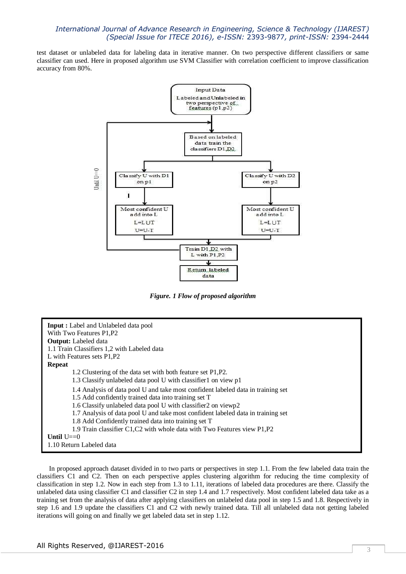# *International Journal of Advance Research in Engineering, Science & Technology (IJAREST) (Special Issue for ITECE 2016), e-ISSN:* 2393-9877*, print-ISSN:* 2394-2444

test dataset or unlabeled data for labeling data in iterative manner. On two perspective different classifiers or same classifier can used. Here in proposed algorithm use SVM Classifier with correlation coefficient to improve classification accuracy from 80%.



*Figure. 1 Flow of proposed algorithm*



In proposed approach dataset divided in to two parts or perspectives in step 1.1. From the few labeled data train the classifiers C1 and C2. Then on each perspective apples clustering algorithm for reducing the time complexity of classification in step 1.2. Now in each step from 1.3 to 1.11, iterations of labeled data procedures are there. Classify the unlabeled data using classifier C1 and classifier C2 in step 1.4 and 1.7 respectively. Most confident labeled data take as a training set from the analysis of data after applying classifiers on unlabeled data pool in step 1.5 and 1.8. Respectively in step 1.6 and 1.9 update the classifiers C1 and C2 with newly trained data. Till all unlabeled data not getting labeled iterations will going on and finally we get labeled data set in step 1.12.